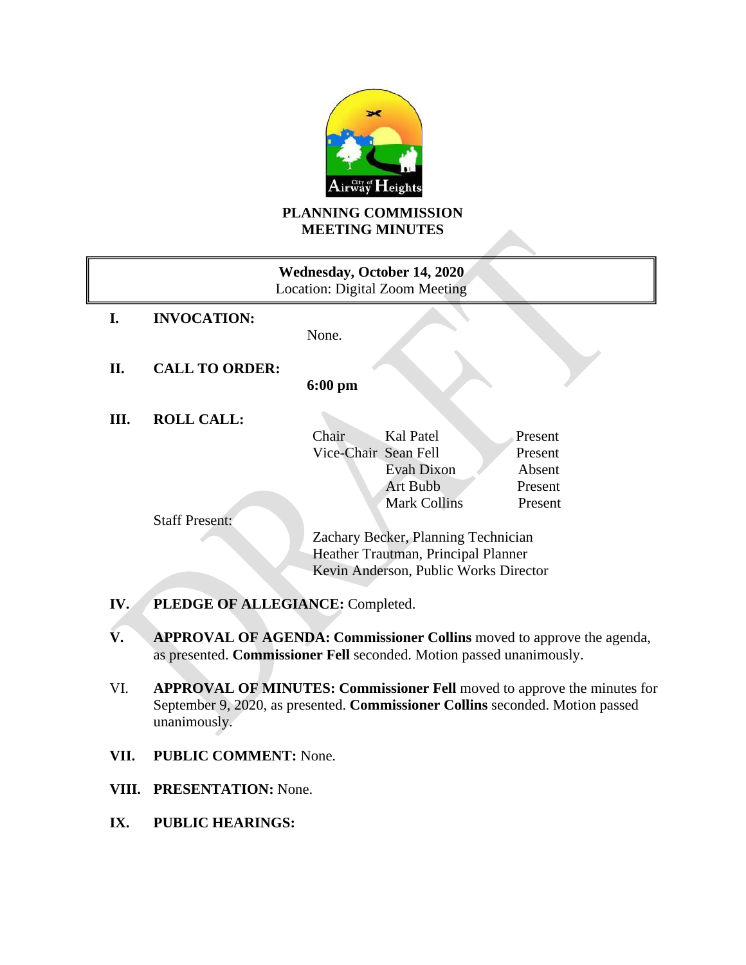

# **PLANNING COMMISSION MEETING MINUTES**

| Wednesday, October 14, 2020<br><b>Location: Digital Zoom Meeting</b> |                                     |                                       |                     |                    |
|----------------------------------------------------------------------|-------------------------------------|---------------------------------------|---------------------|--------------------|
| I.                                                                   | <b>INVOCATION:</b>                  | None.                                 |                     |                    |
| П.                                                                   | <b>CALL TO ORDER:</b>               | $6:00 \text{ pm}$                     |                     |                    |
| Ш.                                                                   | <b>ROLL CALL:</b>                   |                                       |                     |                    |
|                                                                      |                                     | Chair<br>Vice-Chair Sean Fell         | Kal Patel           | Present<br>Present |
|                                                                      |                                     |                                       | <b>Evah Dixon</b>   | Absent             |
|                                                                      |                                     |                                       | <b>Art Bubb</b>     | Present            |
|                                                                      |                                     |                                       | <b>Mark Collins</b> | Present            |
|                                                                      | <b>Staff Present:</b>               |                                       |                     |                    |
|                                                                      |                                     | Zachary Becker, Planning Technician   |                     |                    |
|                                                                      | Heather Trautman, Principal Planner |                                       |                     |                    |
|                                                                      |                                     | Kevin Anderson, Public Works Director |                     |                    |
| PLEDGE OF ALLEGIANCE: Completed.<br>IV.                              |                                     |                                       |                     |                    |

- **V. APPROVAL OF AGENDA: Commissioner Collins** moved to approve the agenda, as presented. **Commissioner Fell** seconded. Motion passed unanimously.
- VI. **APPROVAL OF MINUTES: Commissioner Fell** moved to approve the minutes for September 9, 2020, as presented. **Commissioner Collins** seconded. Motion passed unanimously.
- **VII. PUBLIC COMMENT:** None.
- **VIII. PRESENTATION:** None.
- **IX. PUBLIC HEARINGS:**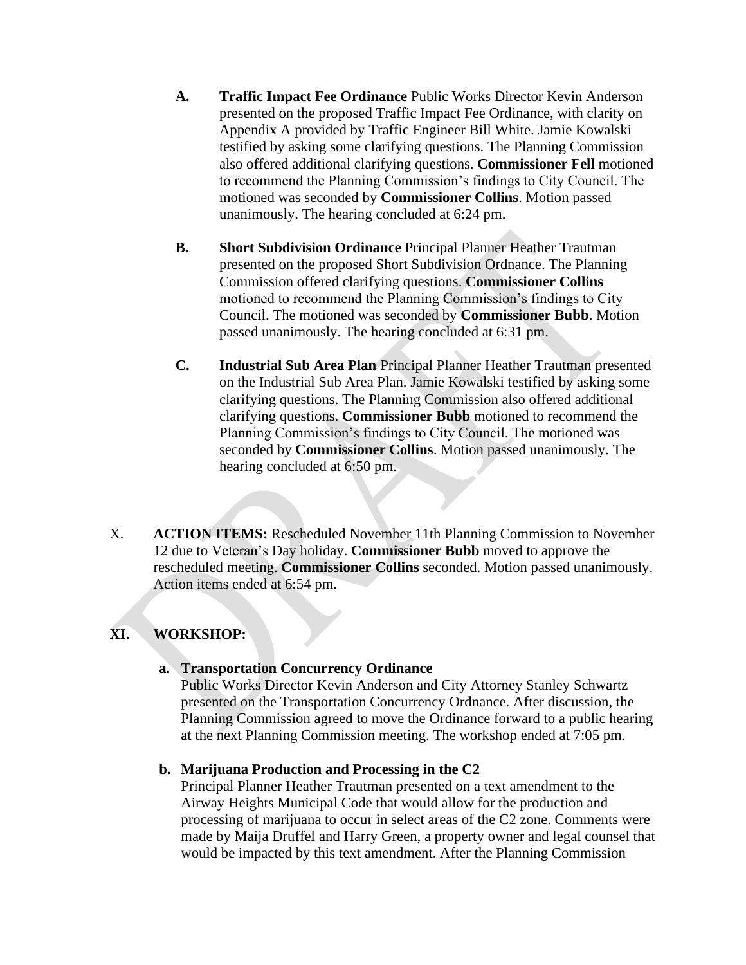- **A. Traffic Impact Fee Ordinance** Public Works Director Kevin Anderson presented on the proposed Traffic Impact Fee Ordinance, with clarity on Appendix A provided by Traffic Engineer Bill White. Jamie Kowalski testified by asking some clarifying questions. The Planning Commission also offered additional clarifying questions. **Commissioner Fell** motioned to recommend the Planning Commission's findings to City Council. The motioned was seconded by **Commissioner Collins**. Motion passed unanimously. The hearing concluded at 6:24 pm.
- **B. Short Subdivision Ordinance** Principal Planner Heather Trautman presented on the proposed Short Subdivision Ordnance. The Planning Commission offered clarifying questions. **Commissioner Collins** motioned to recommend the Planning Commission's findings to City Council. The motioned was seconded by **Commissioner Bubb**. Motion passed unanimously. The hearing concluded at 6:31 pm.
- **C. Industrial Sub Area Plan** Principal Planner Heather Trautman presented on the Industrial Sub Area Plan. Jamie Kowalski testified by asking some clarifying questions. The Planning Commission also offered additional clarifying questions. **Commissioner Bubb** motioned to recommend the Planning Commission's findings to City Council. The motioned was seconded by **Commissioner Collins**. Motion passed unanimously. The hearing concluded at 6:50 pm.
- X. **ACTION ITEMS:** Rescheduled November 11th Planning Commission to November 12 due to Veteran's Day holiday. **Commissioner Bubb** moved to approve the rescheduled meeting. **Commissioner Collins** seconded. Motion passed unanimously. Action items ended at 6:54 pm.

## **XI. WORKSHOP:**

#### **a. Transportation Concurrency Ordinance**

Public Works Director Kevin Anderson and City Attorney Stanley Schwartz presented on the Transportation Concurrency Ordnance. After discussion, the Planning Commission agreed to move the Ordinance forward to a public hearing at the next Planning Commission meeting. The workshop ended at 7:05 pm.

## **b. Marijuana Production and Processing in the C2**

Principal Planner Heather Trautman presented on a text amendment to the Airway Heights Municipal Code that would allow for the production and processing of marijuana to occur in select areas of the C2 zone. Comments were made by Maija Druffel and Harry Green, a property owner and legal counsel that would be impacted by this text amendment. After the Planning Commission